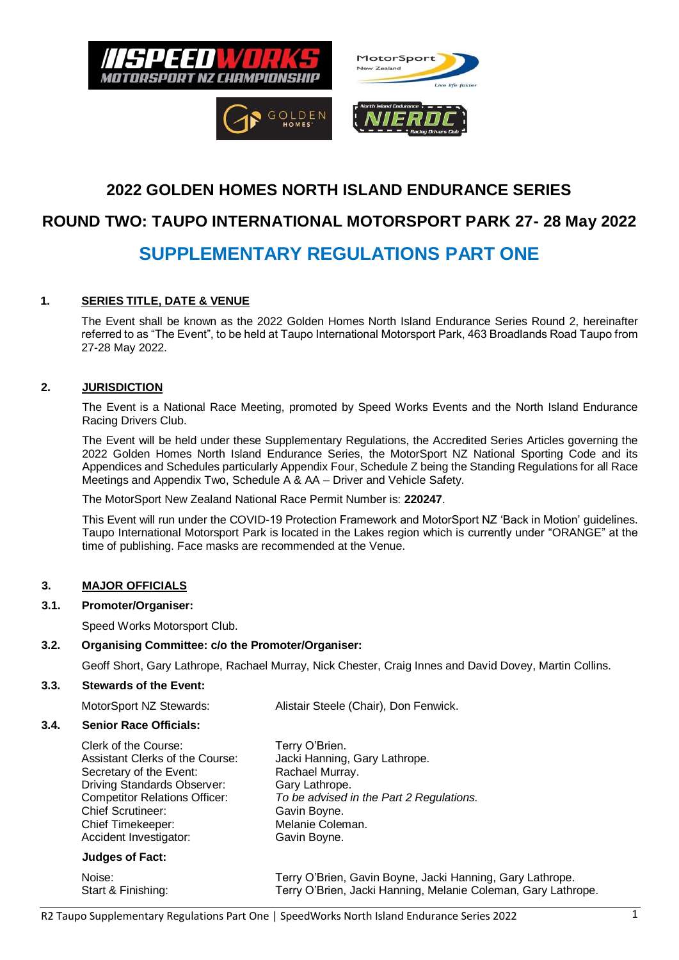





MotorSport

# **2022 GOLDEN HOMES NORTH ISLAND ENDURANCE SERIES**

# **ROUND TWO: TAUPO INTERNATIONAL MOTORSPORT PARK 27- 28 May 2022**

# **SUPPLEMENTARY REGULATIONS PART ONE**

## **1. SERIES TITLE, DATE & VENUE**

The Event shall be known as the 2022 Golden Homes North Island Endurance Series Round 2, hereinafter referred to as "The Event", to be held at Taupo International Motorsport Park, 463 Broadlands Road Taupo from 27-28 May 2022.

#### **2. JURISDICTION**

The Event is a National Race Meeting, promoted by Speed Works Events and the North Island Endurance Racing Drivers Club.

The Event will be held under these Supplementary Regulations, the Accredited Series Articles governing the 2022 Golden Homes North Island Endurance Series, the MotorSport NZ National Sporting Code and its Appendices and Schedules particularly Appendix Four, Schedule Z being the Standing Regulations for all Race Meetings and Appendix Two, Schedule A & AA – Driver and Vehicle Safety.

The MotorSport New Zealand National Race Permit Number is: **220247**.

This Event will run under the COVID-19 Protection Framework and MotorSport NZ 'Back in Motion' guidelines. Taupo International Motorsport Park is located in the Lakes region which is currently under "ORANGE" at the time of publishing. Face masks are recommended at the Venue.

#### **3. MAJOR OFFICIALS**

#### **3.1. Promoter/Organiser:**

Speed Works Motorsport Club.

## **3.2. Organising Committee: c/o the Promoter/Organiser:**

Geoff Short, Gary Lathrope, Rachael Murray, Nick Chester, Craig Innes and David Dovey, Martin Collins.

#### **3.3. Stewards of the Event:**

MotorSport NZ Stewards: Alistair Steele (Chair), Don Fenwick.

#### **3.4. Senior Race Officials:**

| Clerk of the Course:                 | Terry O'Brien.                                                                                                             |
|--------------------------------------|----------------------------------------------------------------------------------------------------------------------------|
| Assistant Clerks of the Course:      | Jacki Hanning, Gary Lathrope.                                                                                              |
| Secretary of the Event:              | Rachael Murray.                                                                                                            |
| <b>Driving Standards Observer:</b>   | Gary Lathrope.                                                                                                             |
| <b>Competitor Relations Officer:</b> | To be advised in the Part 2 Regulations.                                                                                   |
| <b>Chief Scrutineer:</b>             | Gavin Boyne.                                                                                                               |
| <b>Chief Timekeeper:</b>             | Melanie Coleman.                                                                                                           |
| Accident Investigator:               | Gavin Boyne.                                                                                                               |
| <b>Judges of Fact:</b>               |                                                                                                                            |
| Noise:<br>Start & Finishing:         | Terry O'Brien, Gavin Boyne, Jacki Hanning, Gary Lathrope.<br>Terry O'Brien, Jacki Hanning, Melanie Coleman, Gary Lathrope. |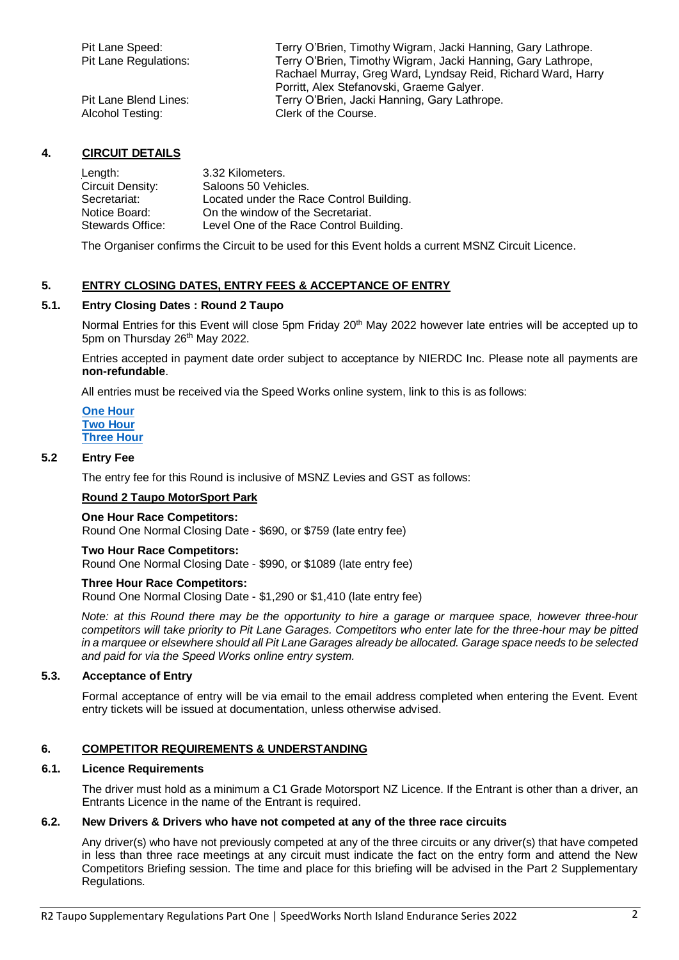| Pit Lane Speed:       | Terry O'Brien, Timothy Wigram, Jacki Hanning, Gary Lathrope. |
|-----------------------|--------------------------------------------------------------|
| Pit Lane Regulations: | Terry O'Brien, Timothy Wigram, Jacki Hanning, Gary Lathrope, |
|                       | Rachael Murray, Greg Ward, Lyndsay Reid, Richard Ward, Harry |
|                       | Porritt, Alex Stefanovski, Graeme Galyer.                    |
| Pit Lane Blend Lines: | Terry O'Brien, Jacki Hanning, Gary Lathrope.                 |
| Alcohol Testing:      | Clerk of the Course.                                         |

## **4. CIRCUIT DETAILS**

| Length:<br>Circuit Density:       | 3.32 Kilometers.                                                             |
|-----------------------------------|------------------------------------------------------------------------------|
| Secretariat:                      | Saloons 50 Vehicles.<br>Located under the Race Control Building.             |
| Notice Board:<br>Stewards Office: | On the window of the Secretariat.<br>Level One of the Race Control Building. |

The Organiser confirms the Circuit to be used for this Event holds a current MSNZ Circuit Licence.

#### **5. ENTRY CLOSING DATES, ENTRY FEES & ACCEPTANCE OF ENTRY**

## **5.1. Entry Closing Dates : Round 2 Taupo**

Normal Entries for this Event will close 5pm Friday 20<sup>th</sup> May 2022 however late entries will be accepted up to 5pm on Thursday 26th May 2022.

Entries accepted in payment date order subject to acceptance by NIERDC Inc. Please note all payments are **non-refundable**.

All entries must be received via the Speed Works online system, link to this is as follows:

**[One Hour](https://docs.google.com/forms/d/e/1FAIpQLSezSuez6uL4-XgPWKxU9xKLB_peeKNsuTEgyR-GgKFmCyWvGA/viewform) [Two Hour](https://docs.google.com/forms/d/e/1FAIpQLScgcrrlCMCPjjKA61GhcdO0usmL3PEb3KbLdJBknPbDhVghUg/viewform) [Three Hour](https://docs.google.com/forms/d/e/1FAIpQLSfSHAFFnLsjzMYkVFGFOheLJHKi2H-ehsYBjv8l5L2x5pwdPw/viewform)**

#### **5.2 Entry Fee**

The entry fee for this Round is inclusive of MSNZ Levies and GST as follows:

#### **Round 2 Taupo MotorSport Park**

**One Hour Race Competitors:**

Round One Normal Closing Date - \$690, or \$759 (late entry fee)

#### **Two Hour Race Competitors:**

Round One Normal Closing Date - \$990, or \$1089 (late entry fee)

#### **Three Hour Race Competitors:**

Round One Normal Closing Date - \$1,290 or \$1,410 (late entry fee)

*Note: at this Round there may be the opportunity to hire a garage or marquee space, however three-hour competitors will take priority to Pit Lane Garages. Competitors who enter late for the three-hour may be pitted in a marquee or elsewhere should all Pit Lane Garages already be allocated. Garage space needs to be selected and paid for via the Speed Works online entry system.*

#### **5.3. Acceptance of Entry**

Formal acceptance of entry will be via email to the email address completed when entering the Event. Event entry tickets will be issued at documentation, unless otherwise advised.

#### **6. COMPETITOR REQUIREMENTS & UNDERSTANDING**

#### **6.1. Licence Requirements**

The driver must hold as a minimum a C1 Grade Motorsport NZ Licence. If the Entrant is other than a driver, an Entrants Licence in the name of the Entrant is required.

#### **6.2. New Drivers & Drivers who have not competed at any of the three race circuits**

Any driver(s) who have not previously competed at any of the three circuits or any driver(s) that have competed in less than three race meetings at any circuit must indicate the fact on the entry form and attend the New Competitors Briefing session. The time and place for this briefing will be advised in the Part 2 Supplementary Regulations.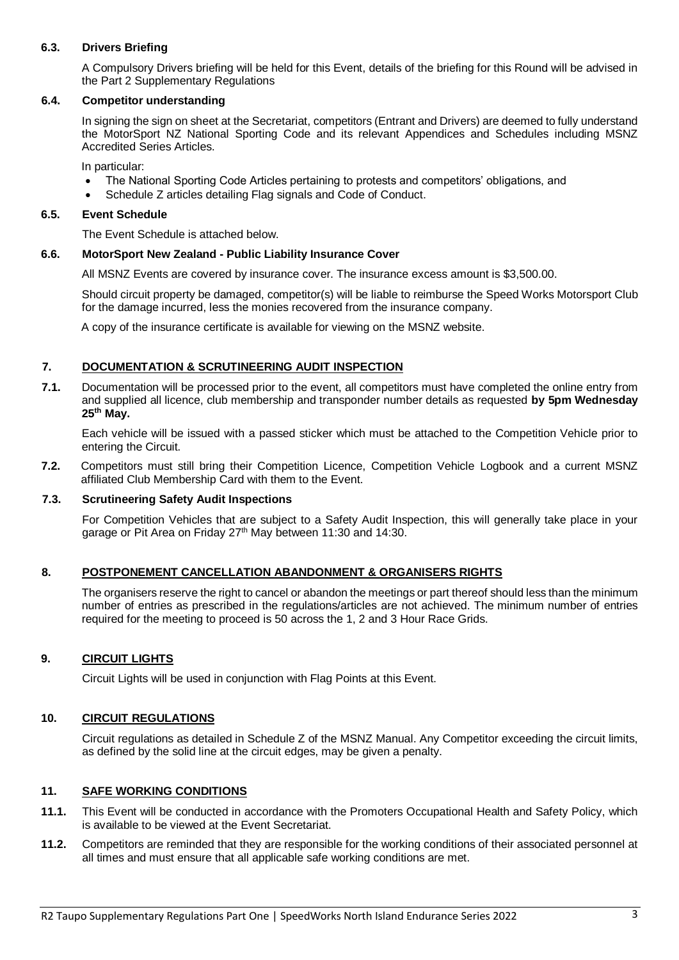#### **6.3. Drivers Briefing**

A Compulsory Drivers briefing will be held for this Event, details of the briefing for this Round will be advised in the Part 2 Supplementary Regulations

#### **6.4. Competitor understanding**

In signing the sign on sheet at the Secretariat, competitors (Entrant and Drivers) are deemed to fully understand the MotorSport NZ National Sporting Code and its relevant Appendices and Schedules including MSNZ Accredited Series Articles.

In particular:

- The National Sporting Code Articles pertaining to protests and competitors' obligations, and
- Schedule Z articles detailing Flag signals and Code of Conduct.

#### **6.5. Event Schedule**

The Event Schedule is attached below.

#### **6.6. MotorSport New Zealand - Public Liability Insurance Cover**

All MSNZ Events are covered by insurance cover. The insurance excess amount is \$3,500.00.

Should circuit property be damaged, competitor(s) will be liable to reimburse the Speed Works Motorsport Club for the damage incurred, less the monies recovered from the insurance company.

A copy of the insurance certificate is available for viewing on the MSNZ website.

#### **7. DOCUMENTATION & SCRUTINEERING AUDIT INSPECTION**

**7.1.** Documentation will be processed prior to the event, all competitors must have completed the online entry from and supplied all licence, club membership and transponder number details as requested **by 5pm Wednesday 25th May.**

Each vehicle will be issued with a passed sticker which must be attached to the Competition Vehicle prior to entering the Circuit.

**7.2.** Competitors must still bring their Competition Licence, Competition Vehicle Logbook and a current MSNZ affiliated Club Membership Card with them to the Event.

#### **7.3. Scrutineering Safety Audit Inspections**

For Competition Vehicles that are subject to a Safety Audit Inspection, this will generally take place in your garage or Pit Area on Friday 27<sup>th</sup> May between 11:30 and 14:30.

#### **8. POSTPONEMENT CANCELLATION ABANDONMENT & ORGANISERS RIGHTS**

The organisers reserve the right to cancel or abandon the meetings or part thereof should less than the minimum number of entries as prescribed in the regulations/articles are not achieved. The minimum number of entries required for the meeting to proceed is 50 across the 1, 2 and 3 Hour Race Grids.

#### **9. CIRCUIT LIGHTS**

Circuit Lights will be used in conjunction with Flag Points at this Event.

## **10. CIRCUIT REGULATIONS**

Circuit regulations as detailed in Schedule Z of the MSNZ Manual. Any Competitor exceeding the circuit limits, as defined by the solid line at the circuit edges, may be given a penalty.

#### **11. SAFE WORKING CONDITIONS**

- **11.1.** This Event will be conducted in accordance with the Promoters Occupational Health and Safety Policy, which is available to be viewed at the Event Secretariat.
- **11.2.** Competitors are reminded that they are responsible for the working conditions of their associated personnel at all times and must ensure that all applicable safe working conditions are met.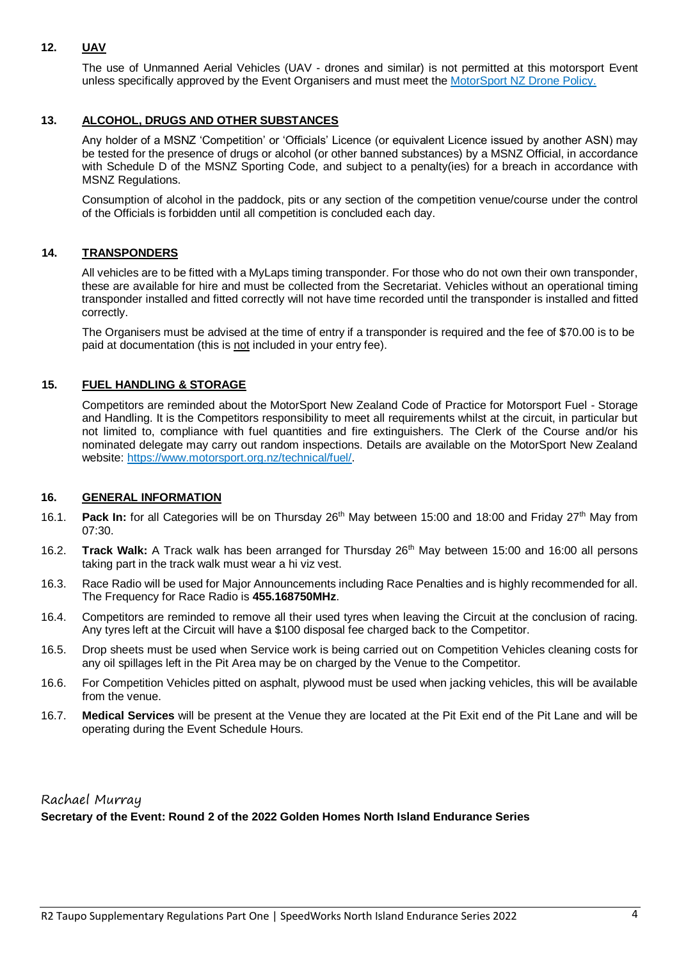## **12. UAV**

The use of Unmanned Aerial Vehicles (UAV - drones and similar) is not permitted at this motorsport Event unless specifically approved by the Event Organisers and must meet the MotorSport NZ Drone Policy.

## **13. ALCOHOL, DRUGS AND OTHER SUBSTANCES**

Any holder of a MSNZ 'Competition' or 'Officials' Licence (or equivalent Licence issued by another ASN) may be tested for the presence of drugs or alcohol (or other banned substances) by a MSNZ Official, in accordance with Schedule D of the MSNZ Sporting Code, and subject to a penalty(ies) for a breach in accordance with MSNZ Regulations.

Consumption of alcohol in the paddock, pits or any section of the competition venue/course under the control of the Officials is forbidden until all competition is concluded each day.

#### **14. TRANSPONDERS**

All vehicles are to be fitted with a MyLaps timing transponder. For those who do not own their own transponder, these are available for hire and must be collected from the Secretariat. Vehicles without an operational timing transponder installed and fitted correctly will not have time recorded until the transponder is installed and fitted correctly.

The Organisers must be advised at the time of entry if a transponder is required and the fee of \$70.00 is to be paid at documentation (this is not included in your entry fee).

#### **15. FUEL HANDLING & STORAGE**

Competitors are reminded about the MotorSport New Zealand Code of Practice for Motorsport Fuel - Storage and Handling. It is the Competitors responsibility to meet all requirements whilst at the circuit, in particular but not limited to, compliance with fuel quantities and fire extinguishers. The Clerk of the Course and/or his nominated delegate may carry out random inspections. Details are available on the MotorSport New Zealand website: https://www.motorsport.org.nz/technical/fuel/.

#### **16. GENERAL INFORMATION**

- 16.1. **Pack In:** for all Categories will be on Thursday 26<sup>th</sup> May between 15:00 and 18:00 and Friday 27<sup>th</sup> May from 07:30.
- 16.2. **Track Walk:** A Track walk has been arranged for Thursday 26th May between 15:00 and 16:00 all persons taking part in the track walk must wear a hi viz vest.
- 16.3. Race Radio will be used for Major Announcements including Race Penalties and is highly recommended for all. The Frequency for Race Radio is **455.168750MHz**.
- 16.4. Competitors are reminded to remove all their used tyres when leaving the Circuit at the conclusion of racing. Any tyres left at the Circuit will have a \$100 disposal fee charged back to the Competitor.
- 16.5. Drop sheets must be used when Service work is being carried out on Competition Vehicles cleaning costs for any oil spillages left in the Pit Area may be on charged by the Venue to the Competitor.
- 16.6. For Competition Vehicles pitted on asphalt, plywood must be used when jacking vehicles, this will be available from the venue.
- 16.7. **Medical Services** will be present at the Venue they are located at the Pit Exit end of the Pit Lane and will be operating during the Event Schedule Hours.

## Rachael Murray **Secretary of the Event: Round 2 of the 2022 Golden Homes North Island Endurance Series**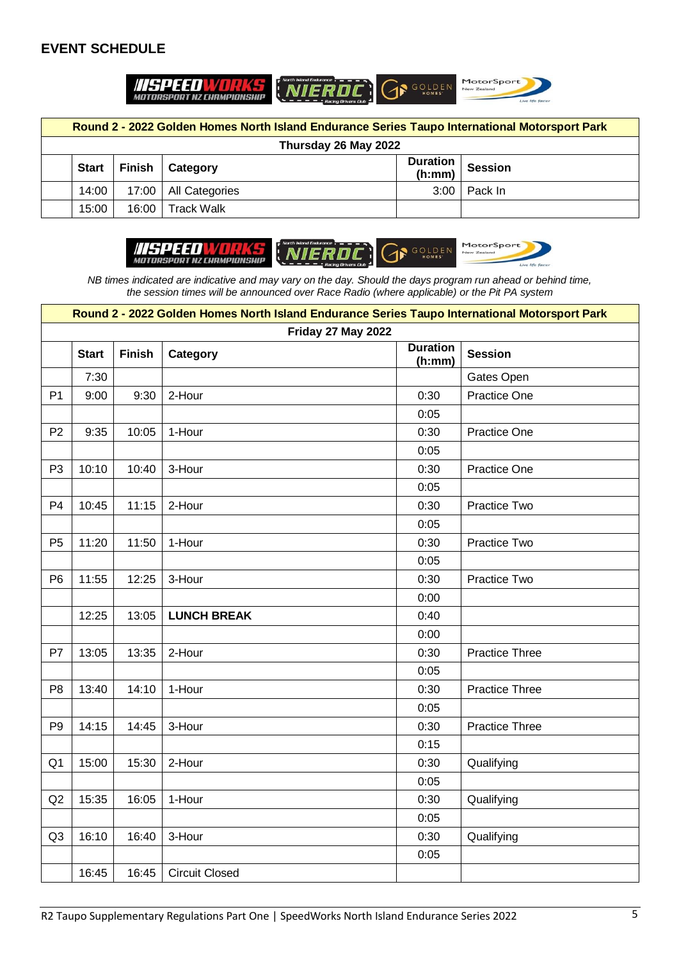## **EVENT SCHEDULE**



| Round 2 - 2022 Golden Homes North Island Endurance Series Taupo International Motorsport Park |              |               |                        |                    |                |
|-----------------------------------------------------------------------------------------------|--------------|---------------|------------------------|--------------------|----------------|
| Thursday 26 May 2022                                                                          |              |               |                        |                    |                |
|                                                                                               | <b>Start</b> | <b>Finish</b> | Category               | Duration<br>(h:mm) | <b>Session</b> |
|                                                                                               | 14:00        |               | 17:00   All Categories | 3:00 <sub>1</sub>  | Pack In        |
|                                                                                               | 15:00        | 16:00         | Track Walk             |                    |                |



*NB times indicated are indicative and may vary on the day. Should the days program run ahead or behind time, the session times will be announced over Race Radio (where applicable) or the Pit PA system*

|                | Round 2 - 2022 Golden Homes North Island Endurance Series Taupo International Motorsport Park |               |                       |                           |                       |
|----------------|-----------------------------------------------------------------------------------------------|---------------|-----------------------|---------------------------|-----------------------|
|                |                                                                                               |               | Friday 27 May 2022    |                           |                       |
|                | <b>Start</b>                                                                                  | <b>Finish</b> | Category              | <b>Duration</b><br>(h:mm) | <b>Session</b>        |
|                | 7:30                                                                                          |               |                       |                           | Gates Open            |
| P <sub>1</sub> | 9:00                                                                                          | 9:30          | 2-Hour                | 0:30                      | Practice One          |
|                |                                                                                               |               |                       | 0:05                      |                       |
| P <sub>2</sub> | 9:35                                                                                          | 10:05         | 1-Hour                | 0:30                      | <b>Practice One</b>   |
|                |                                                                                               |               |                       | 0:05                      |                       |
| P <sub>3</sub> | 10:10                                                                                         | 10:40         | 3-Hour                | 0:30                      | Practice One          |
|                |                                                                                               |               |                       | 0:05                      |                       |
| P <sub>4</sub> | 10:45                                                                                         | 11:15         | 2-Hour                | 0:30                      | Practice Two          |
|                |                                                                                               |               |                       | 0:05                      |                       |
| P <sub>5</sub> | 11:20                                                                                         | 11:50         | 1-Hour                | 0:30                      | Practice Two          |
|                |                                                                                               |               |                       | 0:05                      |                       |
| P <sub>6</sub> | 11:55                                                                                         | 12:25         | 3-Hour                | 0:30                      | Practice Two          |
|                |                                                                                               |               |                       | 0:00                      |                       |
|                | 12:25                                                                                         | 13:05         | <b>LUNCH BREAK</b>    | 0:40                      |                       |
|                |                                                                                               |               |                       | 0:00                      |                       |
| P7             | 13:05                                                                                         | 13:35         | 2-Hour                | 0:30                      | <b>Practice Three</b> |
|                |                                                                                               |               |                       | 0:05                      |                       |
| P <sub>8</sub> | 13:40                                                                                         | 14:10         | 1-Hour                | 0:30                      | <b>Practice Three</b> |
|                |                                                                                               |               |                       | 0:05                      |                       |
| P <sub>9</sub> | 14:15                                                                                         | 14:45         | 3-Hour                | 0:30                      | <b>Practice Three</b> |
|                |                                                                                               |               |                       | 0:15                      |                       |
| Q <sub>1</sub> | 15:00                                                                                         | 15:30         | 2-Hour                | 0:30                      | Qualifying            |
|                |                                                                                               |               |                       | 0:05                      |                       |
| Q2             | 15:35                                                                                         | 16:05         | 1-Hour                | 0:30                      | Qualifying            |
|                |                                                                                               |               |                       | 0:05                      |                       |
| Q <sub>3</sub> | 16:10                                                                                         | 16:40         | 3-Hour                | 0:30                      | Qualifying            |
|                |                                                                                               |               |                       | 0:05                      |                       |
|                | 16:45                                                                                         | 16:45         | <b>Circuit Closed</b> |                           |                       |